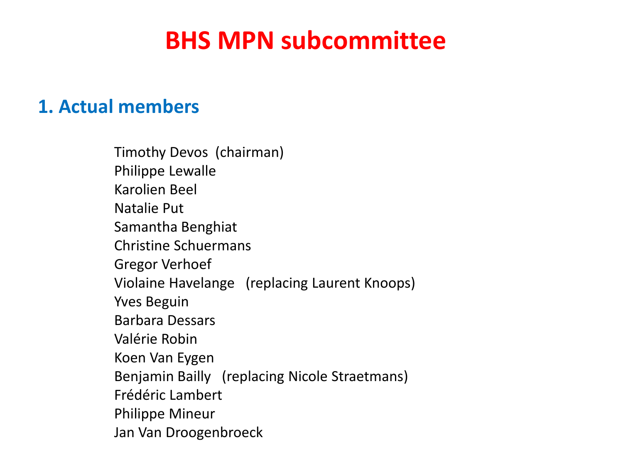## **1. Actual members**

Timothy Devos (chairman) Philippe Lewalle Karolien Beel Natalie Put Samantha Benghiat Christine Schuermans Gregor Verhoef Violaine Havelange (replacing Laurent Knoops) Yves Beguin Barbara Dessars Valérie Robin Koen Van Eygen Benjamin Bailly (replacing Nicole Straetmans) Frédéric Lambert Philippe Mineur Jan Van Droogenbroeck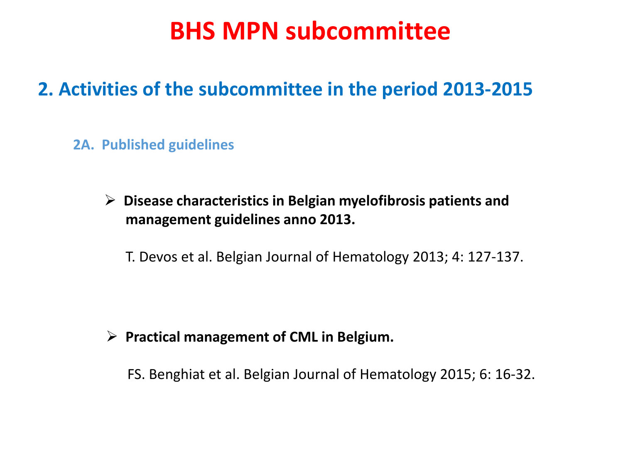## **2. Activities of the subcommittee in the period 2013-2015**

### **2A. Published guidelines**

 **Disease characteristics in Belgian myelofibrosis patients and management guidelines anno 2013.** 

T. Devos et al. Belgian Journal of Hematology 2013; 4: 127-137.

### **Practical management of CML in Belgium.**

FS. Benghiat et al. Belgian Journal of Hematology 2015; 6: 16-32.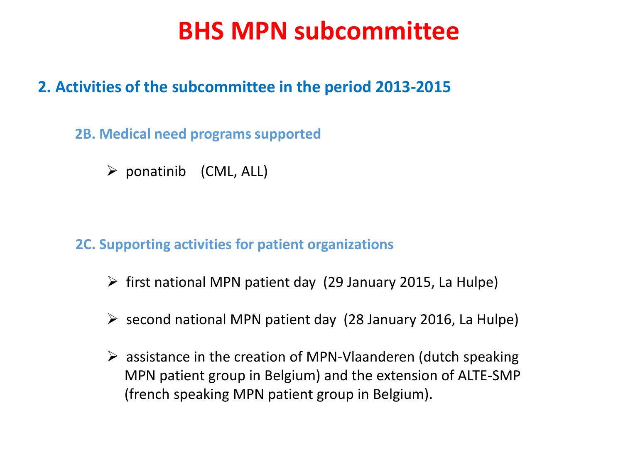## **2. Activities of the subcommittee in the period 2013-2015**

### **2B. Medical need programs supported**

 $\triangleright$  ponatinib (CML, ALL)

### **2C. Supporting activities for patient organizations**

- $\triangleright$  first national MPN patient day (29 January 2015, La Hulpe)
- $\triangleright$  second national MPN patient day (28 January 2016, La Hulpe)
- $\triangleright$  assistance in the creation of MPN-Vlaanderen (dutch speaking MPN patient group in Belgium) and the extension of ALTE-SMP (french speaking MPN patient group in Belgium).